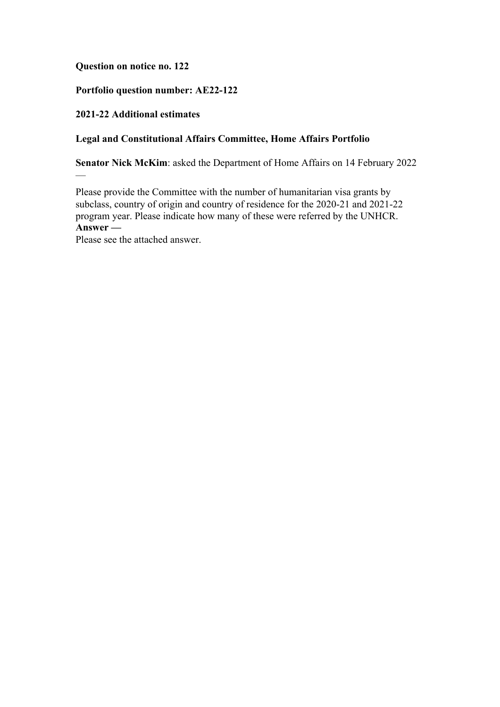## **Question on notice no. 122**

# **Portfolio question number: AE22-122**

## **2021-22 Additional estimates**

—

## **Legal and Constitutional Affairs Committee, Home Affairs Portfolio**

**Senator Nick McKim**: asked the Department of Home Affairs on 14 February 2022

Please provide the Committee with the number of humanitarian visa grants by subclass, country of origin and country of residence for the 2020-21 and 2021-22 program year. Please indicate how many of these were referred by the UNHCR. **Answer —**

Please see the attached answer.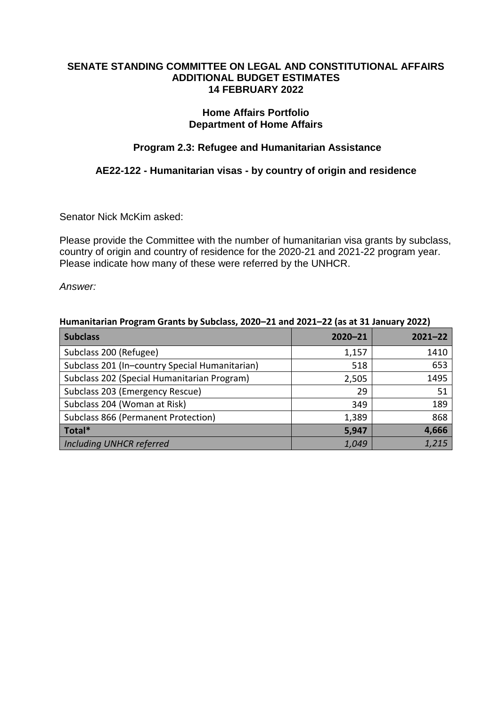#### **SENATE STANDING COMMITTEE ON LEGAL AND CONSTITUTIONAL AFFAIRS ADDITIONAL BUDGET ESTIMATES 14 FEBRUARY 2022**

## **Home Affairs Portfolio Department of Home Affairs**

# **Program 2.3: Refugee and Humanitarian Assistance**

# **AE22-122 - Humanitarian visas - by country of origin and residence**

Senator Nick McKim asked:

Please provide the Committee with the number of humanitarian visa grants by subclass, country of origin and country of residence for the 2020-21 and 2021-22 program year. Please indicate how many of these were referred by the UNHCR.

*Answer:*

| Humanitarian Program Grants by Subclass, 2020-21 and 2021-22 (as at 31 January 2022) |             |             |  |
|--------------------------------------------------------------------------------------|-------------|-------------|--|
| <b>Subclass</b>                                                                      | $2020 - 21$ | $2021 - 22$ |  |
| Subclass 200 (Refugee)                                                               | 1,157       | 1410        |  |
| Subclass 201 (In-country Special Humanitarian)                                       | 518         | 653         |  |
| Subclass 202 (Special Humanitarian Program)                                          | 2,505       | 1495        |  |
| Subclass 203 (Emergency Rescue)                                                      | 29          | 51          |  |
| Subclass 204 (Woman at Risk)                                                         | 349         | 189         |  |
| Subclass 866 (Permanent Protection)                                                  | 1,389       | 868         |  |
| Total*                                                                               | 5,947       | 4,666       |  |
| <b>Including UNHCR referred</b>                                                      | 1,049       | 1,215       |  |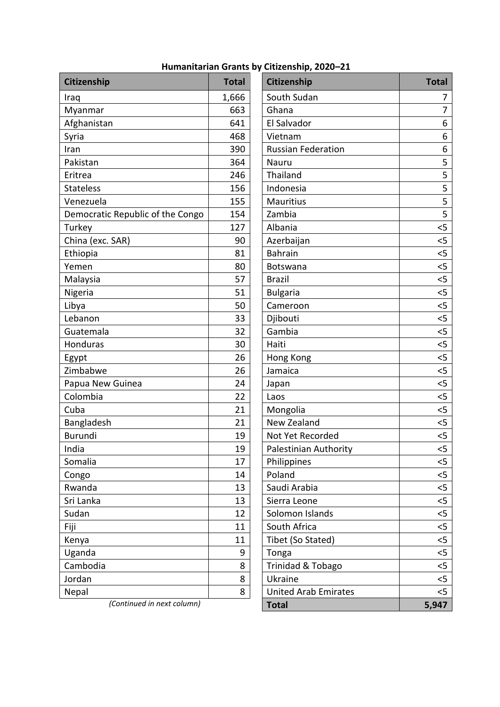# **Humanitarian Grants by Citizenship, 2020–21**

| Citizenship                      | <b>Total</b> | Citizenship                 | <b>Total</b> |
|----------------------------------|--------------|-----------------------------|--------------|
| Iraq                             | 1,666        | South Sudan                 | 7            |
| Myanmar                          | 663          | Ghana                       | 7            |
| Afghanistan                      | 641          | El Salvador                 | 6            |
| Syria                            | 468          | Vietnam                     | 6            |
| Iran                             | 390          | <b>Russian Federation</b>   | 6            |
| Pakistan                         | 364          | Nauru                       | 5            |
| Eritrea                          | 246          | Thailand                    | 5            |
| <b>Stateless</b>                 | 156          | Indonesia                   | 5            |
| Venezuela                        | 155          | <b>Mauritius</b>            | 5            |
| Democratic Republic of the Congo | 154          | Zambia                      | 5            |
| Turkey                           | 127          | Albania                     | $<$ 5        |
| China (exc. SAR)                 | 90           | Azerbaijan                  | $<$ 5        |
| Ethiopia                         | 81           | <b>Bahrain</b>              | 5            |
| Yemen                            | 80           | Botswana                    | < 5          |
| Malaysia                         | 57           | <b>Brazil</b>               | 5            |
| Nigeria                          | 51           | <b>Bulgaria</b>             | $<$ 5        |
| Libya                            | 50           | Cameroon                    | 5            |
| Lebanon                          | 33           | Djibouti                    | 5            |
| Guatemala                        | 32           | Gambia                      | $<$ 5        |
| Honduras                         | 30           | Haiti                       | 5            |
| Egypt                            | 26           | Hong Kong                   | 5            |
| Zimbabwe                         | 26           | Jamaica                     | $<$ 5        |
| Papua New Guinea                 | 24           | Japan                       | 5            |
| Colombia                         | 22           | Laos                        | 5            |
| Cuba                             | 21           | Mongolia                    | $<$ 5        |
| Bangladesh                       | 21           | New Zealand                 | 5            |
| <b>Burundi</b>                   | 19           | Not Yet Recorded            | 5            |
| India                            | 19           | Palestinian Authority       | $<$ 5        |
| Somalia                          | 17           | Philippines                 | $<$ 5        |
| Congo                            | 14           | Poland                      | $<$ 5        |
| Rwanda                           | 13           | Saudi Arabia                | < 5          |
| Sri Lanka                        | 13           | Sierra Leone                | < 5          |
| Sudan                            | 12           | Solomon Islands             | < 5          |
| Fiji                             | 11           | South Africa                | < 5          |
| Kenya                            | 11           | Tibet (So Stated)           | $<$ 5        |
| Uganda                           | 9            | Tonga                       | < 5          |
| Cambodia                         | 8            | Trinidad & Tobago           | $5$          |
| Jordan                           | 8            | Ukraine                     | $<$ 5        |
| Nepal                            | 8            | <b>United Arab Emirates</b> | $<$ 5        |
| (Continued in next column)       |              | <b>Total</b>                | 5,947        |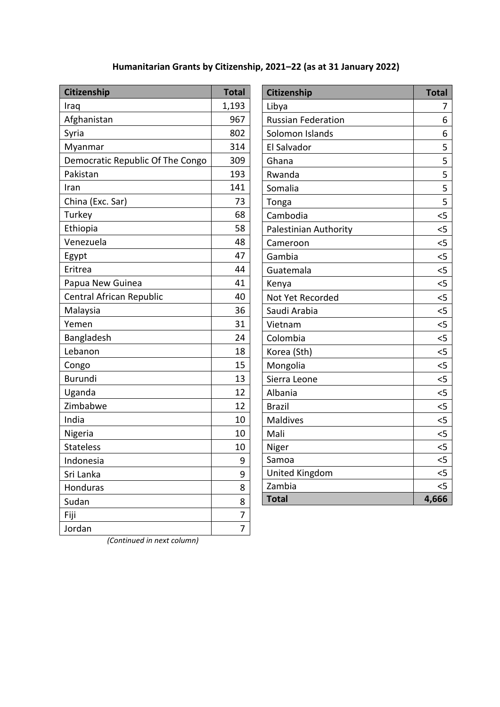# **Humanitarian Grants by Citizenship, 2021–22 (as at 31 January 2022)**

| Citizenship                      | <b>Total</b> |
|----------------------------------|--------------|
| Iraq                             | 1,193        |
| Afghanistan                      | 967          |
| Syria                            | 802          |
| Myanmar                          | 314          |
| Democratic Republic Of The Congo | 309          |
| Pakistan                         | 193          |
| Iran                             | 141          |
| China (Exc. Sar)                 | 73           |
| Turkey                           | 68           |
| Ethiopia                         | 58           |
| Venezuela                        | 48           |
| Egypt                            | 47           |
| Eritrea                          | 44           |
| Papua New Guinea                 | 41           |
| Central African Republic         | 40           |
| Malaysia                         | 36           |
| Yemen                            | 31           |
| Bangladesh                       | 24           |
| Lebanon                          | 18           |
| Congo                            | 15           |
| <b>Burundi</b>                   | 13           |
| Uganda                           | 12           |
| Zimbabwe                         | 12           |
| India                            | 10           |
| Nigeria                          | 10           |
| Stateless                        | 10           |
| Indonesia                        | 9            |
| Sri Lanka                        | 9            |
| Honduras                         | 8            |
| Sudan                            | 8            |
| Fiji                             | 7            |
| Jordan                           | 7            |

| Citizenship               | <b>Total</b> |
|---------------------------|--------------|
| Libya                     | 7            |
| <b>Russian Federation</b> | 6            |
| Solomon Islands           | 6            |
| El Salvador               | 5            |
| Ghana                     | 5            |
| Rwanda                    | 5            |
| Somalia                   | 5            |
| Tonga                     | 5            |
| Cambodia                  | $<$ 5        |
| Palestinian Authority     | $<$ 5        |
| Cameroon                  | $<$ 5        |
| Gambia                    | $\leq$       |
| Guatemala                 | $<$ 5        |
| Kenya                     | $<$ 5        |
| Not Yet Recorded          | $\leq$       |
| Saudi Arabia              | $\leq$       |
| Vietnam                   | $\leq$       |
| Colombia                  | $<$ 5        |
| Korea (Sth)               | $<$ 5        |
| Mongolia                  | $<$ 5        |
| Sierra Leone              | 5            |
| Albania                   | 5            |
| <b>Brazil</b>             | $<$ 5        |
| <b>Maldives</b>           | 5            |
| Mali                      | 5            |
| Niger                     | 5            |
| Samoa                     | 5            |
| United Kingdom            | $\leq$       |
| Zambia                    | <5           |
| <b>Total</b>              | 4,666        |

*(Continued in next column)*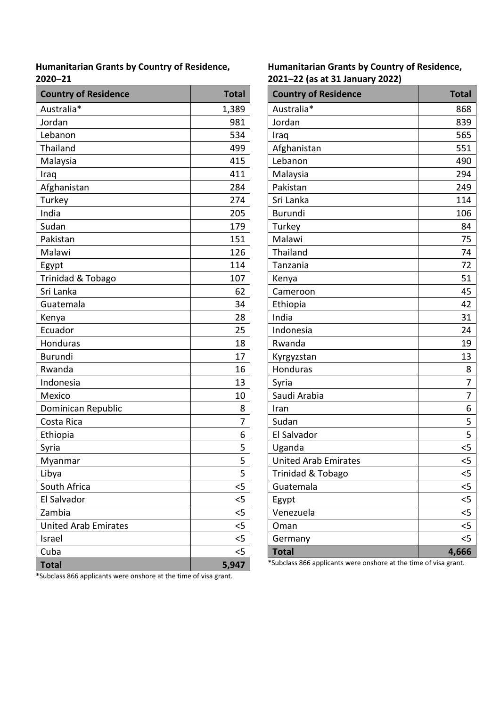**Humanitarian Grants by Country of Residence, 2020–21**

| <b>Country of Residence</b> | <b>Total</b> |
|-----------------------------|--------------|
| Australia*                  | 1,389        |
| Jordan                      | 981          |
| Lebanon                     | 534          |
| Thailand                    | 499          |
| Malaysia                    | 415          |
| Iraq                        | 411          |
| Afghanistan                 | 284          |
| Turkey                      | 274          |
| India                       | 205          |
| Sudan                       | 179          |
| Pakistan                    | 151          |
| Malawi                      | 126          |
| Egypt                       | 114          |
| Trinidad & Tobago           | 107          |
| Sri Lanka                   | 62           |
| Guatemala                   | 34           |
| Kenya                       | 28           |
| Ecuador                     | 25           |
| Honduras                    | 18           |
| <b>Burundi</b>              | 17           |
| Rwanda                      | 16           |
| Indonesia                   | 13           |
| Mexico                      | 10           |
| Dominican Republic          | 8            |
| Costa Rica                  | 7            |
| Ethiopia                    | 6            |
| Syria                       | 5            |
| Myanmar                     | 5            |
| Libya                       | 5            |
| South Africa                | <5           |
| El Salvador                 | <5           |
| Zambia                      | $5$          |
| <b>United Arab Emirates</b> | $5$          |
| Israel                      | $<$ 5        |
| Cuba                        | <5           |
| <b>Total</b>                | 5,947        |

**Humanitarian Grants by Country of Residence, 2021–22 (as at 31 January 2022)**

| <b>Country of Residence</b> | <b>Total</b> |
|-----------------------------|--------------|
| Australia*                  | 868          |
| Jordan                      | 839          |
| Iraq                        | 565          |
| Afghanistan                 | 551          |
| Lebanon                     | 490          |
| Malaysia                    | 294          |
| Pakistan                    | 249          |
| Sri Lanka                   | 114          |
| <b>Burundi</b>              | 106          |
| Turkey                      | 84           |
| Malawi                      | 75           |
| Thailand                    | 74           |
| Tanzania                    | 72           |
| Kenya                       | 51           |
| Cameroon                    | 45           |
| Ethiopia                    | 42           |
| India                       | 31           |
| Indonesia                   | 24           |
| Rwanda                      | 19           |
| Kyrgyzstan                  | 13           |
| Honduras                    | 8            |
| Syria                       | 7            |
| Saudi Arabia                | 7            |
| Iran                        | 6            |
| Sudan                       | 5            |
| El Salvador                 | 5            |
| Uganda                      | <5           |
| <b>United Arab Emirates</b> | 5            |
| Trinidad & Tobago           | <5           |
| Guatemala                   | $<$ 5        |
| Egypt                       | $5$          |
| Venezuela                   | $5$          |
| Oman                        | $\leq$       |
| Germany                     | <5           |
| <b>Total</b>                | 4,666        |

\*Subclass 866 applicants were onshore at the time of visa grant.

\*Subclass 866 applicants were onshore at the time of visa grant.